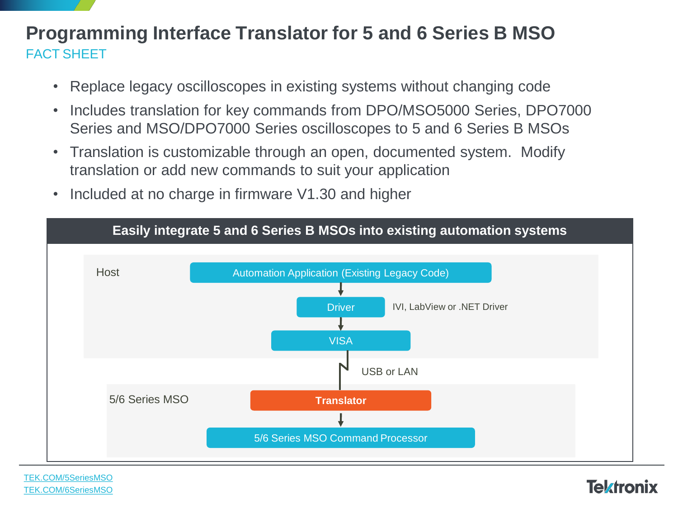## **Programming Interface Translator for 5 and 6 Series B MSO** FACT SHEET

- Replace legacy oscilloscopes in existing systems without changing code
- Includes translation for key commands from DPO/MSO5000 Series, DPO7000 Series and MSO/DPO7000 Series oscilloscopes to 5 and 6 Series B MSOs
- Translation is customizable through an open, documented system. Modify translation or add new commands to suit your application
- Included at no charge in firmware V1.30 and higher



[TEK.COM/5SeriesMSO](https://www.tek.com/oscilloscope/5-series-mso-mixed-domain-oscilloscope) [TEK.COM/6SeriesMSO](https://www.tek.com/oscilloscope/6-series-mso-mixed-signal-oscilloscope)

## **Tektronix**